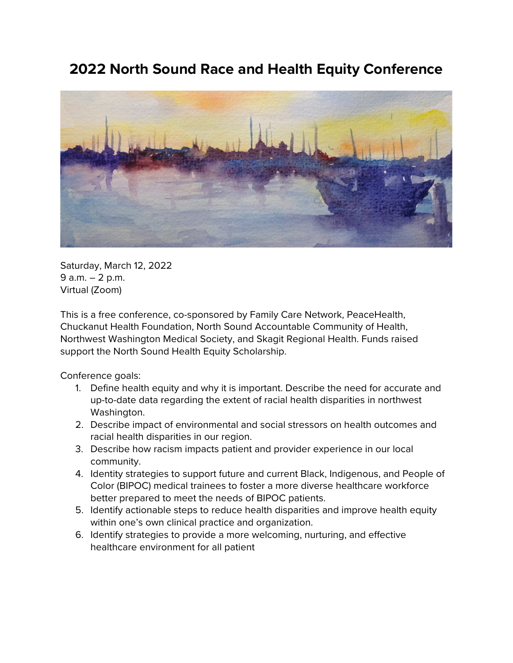## **2022 North Sound Race and Health Equity Conference**



Saturday, March 12, 2022 9 a.m. – 2 p.m. Virtual (Zoom)

This is a free conference, co-sponsored by Family Care Network, PeaceHealth, Chuckanut Health Foundation, North Sound Accountable Community of Health, Northwest Washington Medical Society, and Skagit Regional Health. Funds raised support the North Sound Health Equity Scholarship.

Conference goals:

- 1. Define health equity and why it is important. Describe the need for accurate and up-to-date data regarding the extent of racial health disparities in northwest Washington.
- 2. Describe impact of environmental and social stressors on health outcomes and racial health disparities in our region.
- 3. Describe how racism impacts patient and provider experience in our local community.
- 4. Identity strategies to support future and current Black, Indigenous, and People of Color (BIPOC) medical trainees to foster a more diverse healthcare workforce better prepared to meet the needs of BIPOC patients.
- 5. Identify actionable steps to reduce health disparities and improve health equity within one's own clinical practice and organization.
- 6. Identify strategies to provide a more welcoming, nurturing, and effective healthcare environment for all patient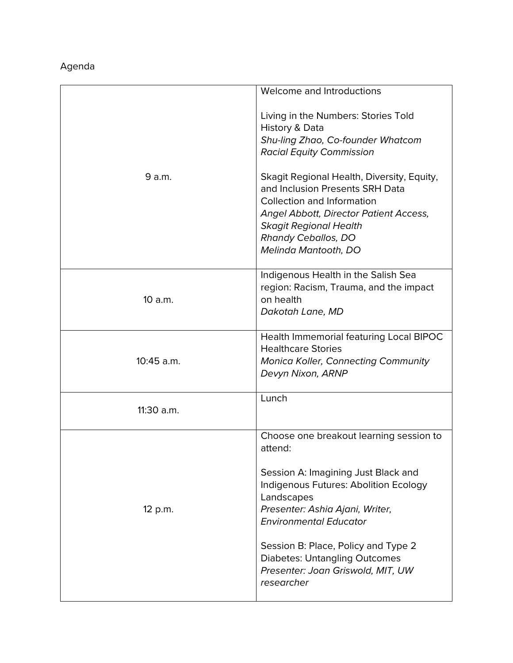## Agenda

|            | Welcome and Introductions                                                                                                                                                              |
|------------|----------------------------------------------------------------------------------------------------------------------------------------------------------------------------------------|
|            | Living in the Numbers: Stories Told                                                                                                                                                    |
|            | History & Data                                                                                                                                                                         |
|            | Shu-ling Zhao, Co-founder Whatcom                                                                                                                                                      |
|            | <b>Racial Equity Commission</b>                                                                                                                                                        |
| 9 a.m.     | Skagit Regional Health, Diversity, Equity,<br>and Inclusion Presents SRH Data<br>Collection and Information<br>Angel Abbott, Director Patient Access,<br><b>Skagit Regional Health</b> |
|            | <b>Rhandy Ceballos, DO</b>                                                                                                                                                             |
|            | Melinda Mantooth, DO                                                                                                                                                                   |
|            | Indigenous Health in the Salish Sea                                                                                                                                                    |
| 10 a.m.    | region: Racism, Trauma, and the impact                                                                                                                                                 |
|            | on health                                                                                                                                                                              |
|            | Dakotah Lane, MD                                                                                                                                                                       |
|            |                                                                                                                                                                                        |
|            | Health Immemorial featuring Local BIPOC                                                                                                                                                |
|            | <b>Healthcare Stories</b>                                                                                                                                                              |
| 10:45 a.m. | <b>Monica Koller, Connecting Community</b>                                                                                                                                             |
|            | Devyn Nixon, ARNP                                                                                                                                                                      |
|            | Lunch                                                                                                                                                                                  |
| 11:30 a.m. |                                                                                                                                                                                        |
|            | Choose one breakout learning session to                                                                                                                                                |
|            | attend:                                                                                                                                                                                |
| 12 p.m.    | Session A: Imagining Just Black and<br>Indigenous Futures: Abolition Ecology<br>Landscapes<br>Presenter: Ashia Ajani, Writer,                                                          |
|            | <b>Environmental Educator</b>                                                                                                                                                          |
|            | Session B: Place, Policy and Type 2<br><b>Diabetes: Untangling Outcomes</b><br>Presenter: Joan Griswold, MIT, UW<br>researcher                                                         |